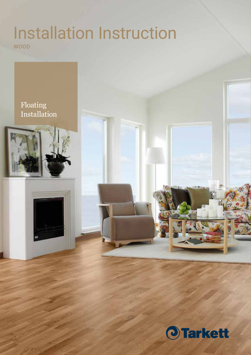# Installation Instruction WOOD

## Floating Installation



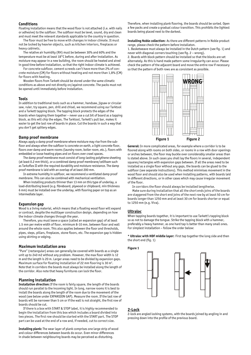#### **Conditions**

Floating installation means that the wood floor is not attached (i.e. with nails or adhesive) to the subfloor. The subfloor must be level, sound, dry and clean and must meet the relevant standards applicable to the country in question.

The floor must be free to move with changes in indoor climate. It must not be locked by heavier objects, such as kitchen interiors, fireplaces or heavy cabinets.

The relative air humidity (RH) must be between 30% and 60% and the temperature must be at least 18°C before, during and after installation. As moisture may appear in a new building, the room should be heated and aired in good time before installation, so that the right indoor climate is achieved.

For concrete subfloor, cement screeds can't have more than 2% of concrete moisture (CM) for floors without heating and not more than 1,8% (CM) for floors with heating.

Wooden floors from Tarkett should be stored under the same climatic conditions as above and not directly on/against concrete. The packs must not be opened until immediately before installation.

#### **Tools**

In addition to traditional tools such as a hammer, handsaw, jigsaw or circular saw, ruler, try square, pen, drill and chisel, we recommend using our Tarktool and a Tarkett tapping block. The tapping block protects the edges of the boards when tapping them together – never use a cut bit of board as a tapping block, as this will chip the edges. The Tarktool, Tarkett's pull bar, makes it easier to get the last row of boards in place. Cut the boards in such a way that you don't get splitery edges.

#### **Damp proof membrane**

Always apply a damp proof membrane where moisture may rise from the subfloor and always when the subfloor is concrete on earth, a light concrete floor, floors over damp and warm rooms (laundry room, boiler room, etc.), floors with embedded or loose heating pipes and on floors over crawl spaces.

The damp proof membrane must consist of long-lasting polythene sheeting (at least 0.2 mm thick), or a combined damp proof membrane/cellfoam such as Tarkoflex II with the required durability and moisture resistance. The damp proof membrane is laid with an overlap of at least 200 mm.

In extreme humidity in subfloor, we recommend a ventilated damp proof membrane. This can also be combined with mechanical ventilation.

When installing products thinner than 13 mm on this type of underlay, a load-distributing board (e.g. fibreboard, plywood or chipboard, min thickness 6 mm) must be installed over the underlay, with flooring paper on top as an intermediate layer.

#### **Expansion gap**

Wood is a living material, which means that a floating wood floor will expand or contract, despite the multilayer construction design, depending on how the indoor climate changes through the year.

Therefore, you must leave a space (called an expansion gap) of at least 1.5 mm per metre width of floor, minimum 8-10 mm, between floor and wall around the whole room. This also applies between the floor and thresholds, pipes, steps, pillars, fireplaces, stone floors, etc. The expansion gap is hidden using skirting or edging.

#### **Maximum installation area**

"Pure" (rectangular) areas can generally be covered with boards as a single unit up to 240 m2 without any problem. However, the max floor width is 12 m and the length is 20 m. Larger areas need to be divided by expansion gaps. Maximum surface for floating installation of 22 mm flooring is 30  $m^2$ . Note that in corridors the boards must always be installed along the length of the corridor. Also note that heavy furnitures can lock the floor.

#### **Planning installation**

**Installation direction:** If the room is fairly square, the length of the boards should run parallel to the incoming light. In long, narrow rooms it is best to install the boards along the length of the room due to the movement of the wood (see below under EXPANSION GAP). Measure the room. If the last row of boards will be narrower than 5 cm or if the wall is not straight, the first row of boards should be cut.

If there is a box with START & STOP label, it is highly recommended to begin the installation from this box which includes a board divided into two pieces. The first row should be started with the START part. The STOP part can be used at the end of a row and, if needed, cut to correct size.

**Installing plank:** The wear layer of plank comprises one large strip of wood and colour differences between boards do occur. Even minor differences in shade between neighbouring boards may be perceived as disturbing.

Therefore, when installing plank flooring, the boards should be sorted. Open a few packs and create a gradual colour transition. This prohibits the lightest boards being placed next to the darkest.

**Installing Noble collection:** As there are different patterns in Noble product range, please check the pattern before installaton.

1. Basketweave must always be installed in the Dutch pattern (see fig. 1) and never with diagonal corners touching (see fig. 2 – wrong).

2. Boards with block pattern should be installed so that the blocks are set alternately. As this is hand made pattern some irregularity can accur. Please check the pattern of the adjacent board and move the entire row if necessary so that the pattern of both rows are as consistent as possible.



**General:** In more complicated areas, for example where a corridor is to be floored along with rooms on both sides, or rooms in a row with door openings or arches between, the floor may buckle over considerably smaller areas than is stated above. In such cases you shall lay the floors in several, independent squares/rectangles with expansion gaps between. If all the areas need to be installed as a single floor without any gaps, the boards can be glued to the subfloor (see separate instructions). This method minimises movement in the wood floor and should also be used when installing patterns, with boards laid in different directions, or in other cases which may cause irregular movement of the floor.

In corridors the floor should always be installed lengthwise.

Make sure during installation that all the short ends joins of the boards are staggered from the short end joins of the next row by at least 50 cm for boards longer than 1250 mm and at least 30 cm for boards shorter or equal to 1250 mm (e.g. Viva).

#### **Ultraloc**

When tapping boards together, it is important to use Tarkett's tapping block so as not to damage the tongue. Strike the tapping block with a hammer, preferably a heavy hammer, as one hard tap is better than many small ones. For simplest installation – follow the order below:

**\* Ultraloc with HDF middle layer:** First tap together the long side and then the short end (fig. 1)



#### **2-Lock**

2-lock are angled locking systems, with the boards joined by angling in and pressing down into the profile of the previous board.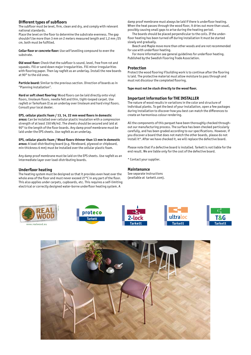#### **Different types of subfloors**

The subfloor must be level, firm, clean and dry, and comply with relevant national standards.

Place the level on the floor to determine the substrate evenness. The gap shouldn't be more than 3 mm on 2 meters measured length and 1,2 mm /25 cm, both must be fulfilled.

**Cellar floor or concrete floor:** Use self levelling compound to even the substrate.

**Old wood floor:** Check that the subfloor is sound, level, free from rot and squeaks. Fill or sand down major irregularities. Fill minor irregularities with flooring paper. Then lay ragfelt as an underlay. Install the new boards at 90° to the old ones.

**Particle board:** Similar to the previous section. Direction of boards as in "Planning installation".

**Hard or soft sheet flooring:** Wood floors can be laid directly onto vinyl floors, linoleum floors, needle felt and thin, tight-looped carpet. Use ragfelt or Tarkofoam II as an underlay over linoleum and hard vinyl floors. Consult your local dealer.

**EPS, cellular plastic foam / 13, 14, 22 mm wood floors in domestic** 

**areas:** Can be installed over cellular plastic insulation with a compression strength of at least 150 kN/m2. The sheets should be secured and laid at 90° to the length of the floor boards. Any damp proof membrane must be laid under the EPS sheets. Use ragfelt as an underlay.

**EPS, cellular plastic foam / Wood floors thinner than 13 mm in domestic areas:** A load-distributing board (e.g. fibreboard, plywood or chipboard, min thickness 6 mm) must be installed over the cellular plastic foam.

Any damp proof membrane must be laid on the EPS sheets. Use ragfelt as an intermediate layer over load-distributing boards.

#### **Underfloor heating**

The heating system must be designed so that it provides even heat over the whole area of the floor and must never exceed 27°C in any part of the floor. This also applies under carpets, cupboards, etc. This requires a self-limiting electrical or correctly designed water-borne underfloor heating system. A

damp proof membrane must always be laid if there is underfloor heating. When the heat passes through the wood floor, it dries out more than usual, possibly causing small gaps to arise during the heating period.

The boards should be placed perpendicular to the coils. If the underfloor heating has been turned off during installation it must be started slowly and gradually.

Beech and Maple move more than other woods and are not recommended for use with underfloor heating.

For more information see general guidelines for underfloor heating. Published by the Swedish Flooring Trade Association.

#### **Protection**

Protect the wood flooring if building work is to continue after the flooring is laid. The protective material must allow moisture to pass through and must not discolour the completed flooring.

**Tape must not be stuck directly to the wood floor.**

#### **Important information for THE INSTALLER**

The nature of wood results in variations in the color and structure of individual planks. To get the best of your installation, open a few packages during installation to discover how you best can match the differences to create an harmonious colour rendering.

All the components of this parquet have been thoroughly checked throughout our manufacturing process. The surface has been checked particularly carefully, and has been graded according to our specifications. However, if you discover a board that does not match the other boards, please do not install it\*. After we have checked it, we will replace the defective board.

Please note that if a defective board is installed. Tarkett is not liable for the end result. We are liable only for the cost of the defective board.

\* Contact your supplier.

#### **Maintenance**

See separate instructions (available at tarkett.com).



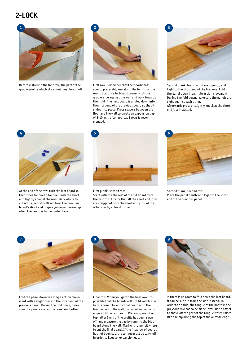### **2-LOCK**



Before installing the first row, the part of the groove profile which sticks out must be cut off.



First row. Remember that the floorboards should preferably run along the length of the room. Start in a left-hand corner with the groove side against the wall and work towards the right. The next board is angled down into the short end of the previous board so that it slides into place. Press spacers between the floor and the wall to create an expansion gap of 8-10 mm, after approx. 3 rows is recommended.



Second plank, first row. Place it gently and tight to the short end of the first one. Fold the panel down in a single action movement. During the fold down, make sure the panels are tight against each other. Afterwards press or slightly knock at the short end just installed.



At the end of the row, turn the last board so that it lies tongue to tongue. Push the short end tightly against the wall. Mark where to cut with a pencil 8-10 mm from the previous board's short end to give you an expansion gap when the board is tapped into place.



First plank, second row. Start with the the rest of the cut board from the first row. Ensure that all the short end joins are staggered from the short end joins of the other row by at least 50 cm.



Second plank, second row. Place the panel gently and tight to the short end of the previous panel.



Fold the panel down in a single action movement with a slight press to the short end of the previous panel. During the fold down, make sure the panels are tight against each other.



Final row: When you get to the final row, it is possible that the boards will not fit width wise. In this case, place the final board with the tongue facing the wall, on top of and edge to edge with the last board. Place a spare bit on top, after 5 mm of the profile has been sawn off, and measure the gap by running the bit of board along the wall. Mark with a pencil where to cut the final board. If the final row of boards has not been cut, the tongue must be sawn off in order to keep an expansion gap.



If there is no room to fold down the last board, it can be slide in from the side instead. In order to do this, the tongue of the board in the previous row has to be made level. Use a chisel to shave off the part of the tongue which raises like a bump along the top of the outside edge.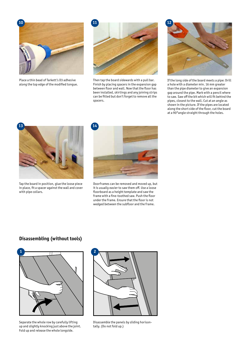

Place a thin bead of Tarkett's D3 adhesive along the top edge of the modified tongue.



Then tap the board sidewards with a pull bar. Finish by placing spacers in the expansion gap between floor and wall. Now that the floor has been installed, skirtings and any joining strips can be fitted but don't forget to remove all the spacers.



If the long side of the board meets a pipe: Drill a hole with a diameter min. 16 mm greater than the pipe diameter to give an expansion gap around the pipe. Mark with a pencil where to saw. Saw off the bit which will fit behind the pipes, closest to the wall. Cut at an angle as shown in the picture. If the pipes are located along the short side of the floor, cut the board at a 90°angle straight through the holes.



Tap the board in position, glue the loose piece in place, fit a spacer against the wall and cover with pipe collars.



Doorframes can be removed and moved up, but it is usually easier to saw them off. Use a loose floorboard as a height template and saw the frame with a fine-toothed saw. Push the floor under the frame. Ensure that the floor is not wedged between the subfloor and the frame.

### **Disassembling (without tools)**



Separate the whole row by carefully lifting up and slightly knocking just above the joint. Fold up and release the whole longside.



Disassemble the panels by sliding horisontally. (Do not fold up.)